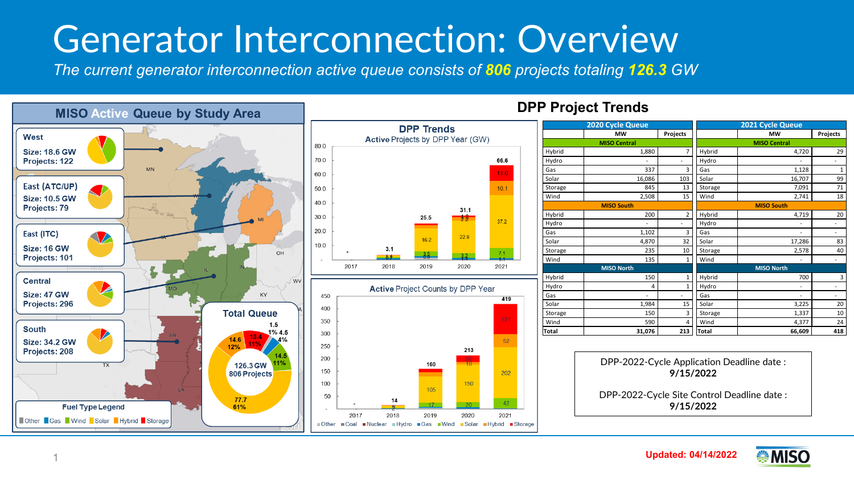## Generator Interconnection: Overview

*The current generator interconnection active queue consists of 806 projects totaling 126.3 GW*

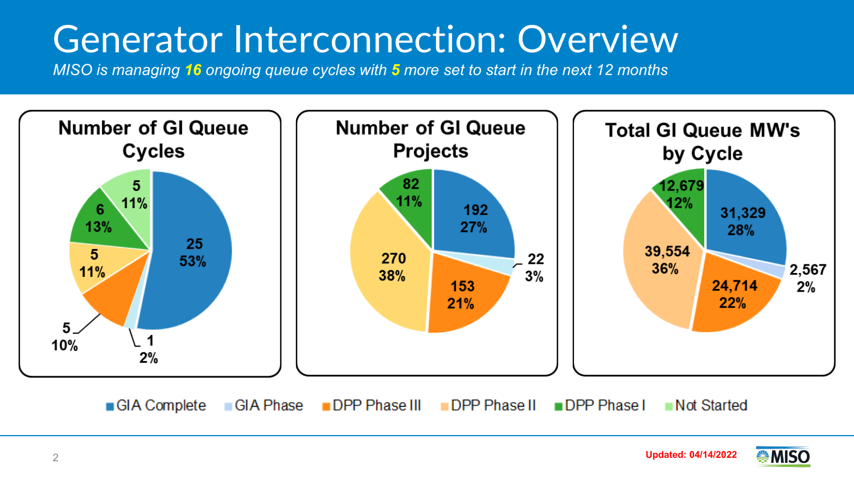## Generator Interconnection: Overview

*MISO is managing 16 ongoing queue cycles with 5 more set to start in the next 12 months*



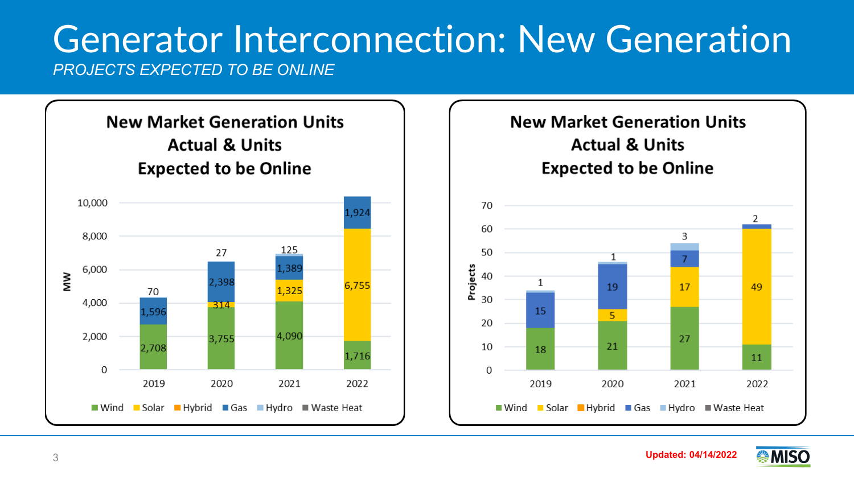## Generator Interconnection: New Generation *PROJECTS EXPECTED TO BE ONLINE*